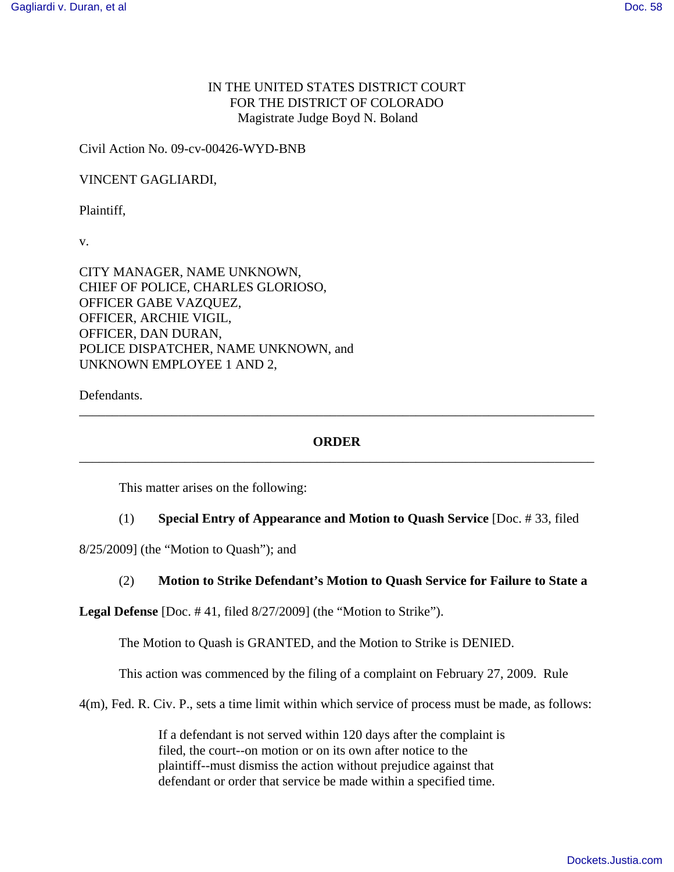# IN THE UNITED STATES DISTRICT COURT FOR THE DISTRICT OF COLORADO Magistrate Judge Boyd N. Boland

Civil Action No. 09-cv-00426-WYD-BNB

VINCENT GAGLIARDI,

Plaintiff,

v.

CITY MANAGER, NAME UNKNOWN, CHIEF OF POLICE, CHARLES GLORIOSO, OFFICER GABE VAZQUEZ, OFFICER, ARCHIE VIGIL, OFFICER, DAN DURAN, POLICE DISPATCHER, NAME UNKNOWN, and UNKNOWN EMPLOYEE 1 AND 2,

Defendants.

## **ORDER** \_\_\_\_\_\_\_\_\_\_\_\_\_\_\_\_\_\_\_\_\_\_\_\_\_\_\_\_\_\_\_\_\_\_\_\_\_\_\_\_\_\_\_\_\_\_\_\_\_\_\_\_\_\_\_\_\_\_\_\_\_\_\_\_\_\_\_\_\_\_\_\_\_\_\_\_\_\_

\_\_\_\_\_\_\_\_\_\_\_\_\_\_\_\_\_\_\_\_\_\_\_\_\_\_\_\_\_\_\_\_\_\_\_\_\_\_\_\_\_\_\_\_\_\_\_\_\_\_\_\_\_\_\_\_\_\_\_\_\_\_\_\_\_\_\_\_\_\_\_\_\_\_\_\_\_\_

This matter arises on the following:

### (1) **Special Entry of Appearance and Motion to Quash Service** [Doc. # 33, filed

8/25/2009] (the "Motion to Quash"); and

### (2) **Motion to Strike Defendant's Motion to Quash Service for Failure to State a**

**Legal Defense** [Doc. # 41, filed 8/27/2009] (the "Motion to Strike").

The Motion to Quash is GRANTED, and the Motion to Strike is DENIED.

This action was commenced by the filing of a complaint on February 27, 2009. Rule

4(m), Fed. R. Civ. P., sets a time limit within which service of process must be made, as follows:

If a defendant is not served within 120 days after the complaint is filed, the court--on motion or on its own after notice to the plaintiff--must dismiss the action without prejudice against that defendant or order that service be made within a specified time.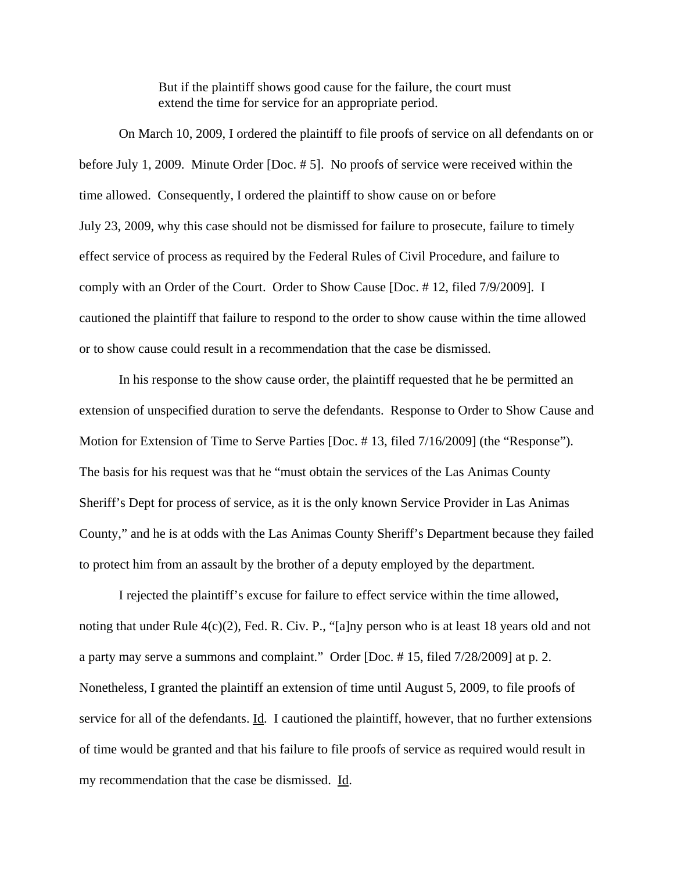But if the plaintiff shows good cause for the failure, the court must extend the time for service for an appropriate period.

On March 10, 2009, I ordered the plaintiff to file proofs of service on all defendants on or before July 1, 2009. Minute Order [Doc. # 5]. No proofs of service were received within the time allowed. Consequently, I ordered the plaintiff to show cause on or before July 23, 2009, why this case should not be dismissed for failure to prosecute, failure to timely effect service of process as required by the Federal Rules of Civil Procedure, and failure to comply with an Order of the Court. Order to Show Cause [Doc. # 12, filed 7/9/2009]. I cautioned the plaintiff that failure to respond to the order to show cause within the time allowed or to show cause could result in a recommendation that the case be dismissed.

In his response to the show cause order, the plaintiff requested that he be permitted an extension of unspecified duration to serve the defendants. Response to Order to Show Cause and Motion for Extension of Time to Serve Parties [Doc. # 13, filed 7/16/2009] (the "Response"). The basis for his request was that he "must obtain the services of the Las Animas County Sheriff's Dept for process of service, as it is the only known Service Provider in Las Animas County," and he is at odds with the Las Animas County Sheriff's Department because they failed to protect him from an assault by the brother of a deputy employed by the department.

I rejected the plaintiff's excuse for failure to effect service within the time allowed, noting that under Rule 4(c)(2), Fed. R. Civ. P., "[a]ny person who is at least 18 years old and not a party may serve a summons and complaint." Order [Doc. # 15, filed 7/28/2009] at p. 2. Nonetheless, I granted the plaintiff an extension of time until August 5, 2009, to file proofs of service for all of the defendants. Id. I cautioned the plaintiff, however, that no further extensions of time would be granted and that his failure to file proofs of service as required would result in my recommendation that the case be dismissed. Id.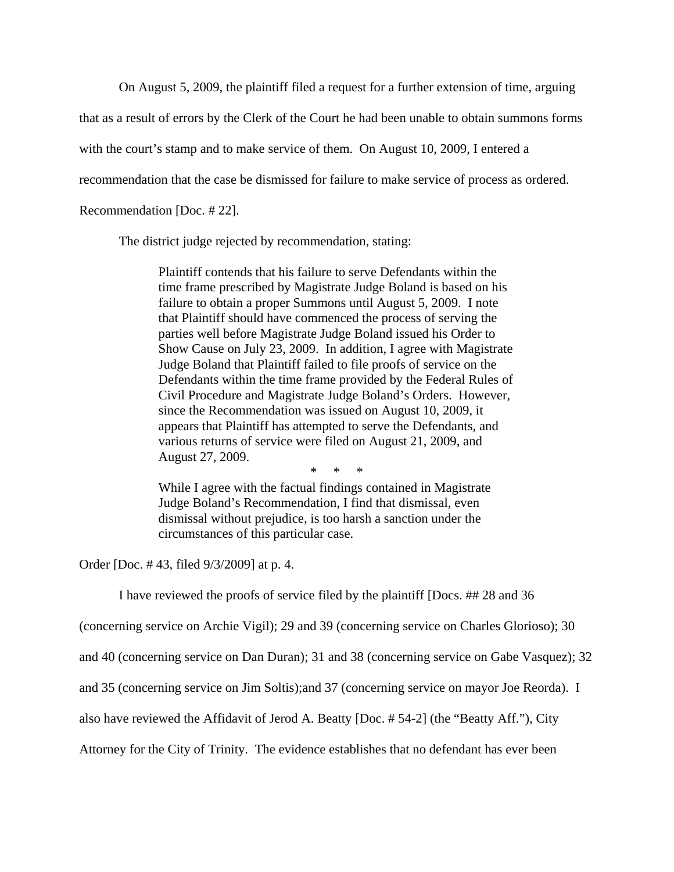On August 5, 2009, the plaintiff filed a request for a further extension of time, arguing

that as a result of errors by the Clerk of the Court he had been unable to obtain summons forms

with the court's stamp and to make service of them. On August 10, 2009, I entered a

recommendation that the case be dismissed for failure to make service of process as ordered.

Recommendation [Doc. # 22].

The district judge rejected by recommendation, stating:

Plaintiff contends that his failure to serve Defendants within the time frame prescribed by Magistrate Judge Boland is based on his failure to obtain a proper Summons until August 5, 2009. I note that Plaintiff should have commenced the process of serving the parties well before Magistrate Judge Boland issued his Order to Show Cause on July 23, 2009. In addition, I agree with Magistrate Judge Boland that Plaintiff failed to file proofs of service on the Defendants within the time frame provided by the Federal Rules of Civil Procedure and Magistrate Judge Boland's Orders. However, since the Recommendation was issued on August 10, 2009, it appears that Plaintiff has attempted to serve the Defendants, and various returns of service were filed on August 21, 2009, and August 27, 2009.

\* \* \*

While I agree with the factual findings contained in Magistrate Judge Boland's Recommendation, I find that dismissal, even dismissal without prejudice, is too harsh a sanction under the circumstances of this particular case.

Order [Doc. # 43, filed 9/3/2009] at p. 4.

I have reviewed the proofs of service filed by the plaintiff [Docs. ## 28 and 36

(concerning service on Archie Vigil); 29 and 39 (concerning service on Charles Glorioso); 30

and 40 (concerning service on Dan Duran); 31 and 38 (concerning service on Gabe Vasquez); 32

and 35 (concerning service on Jim Soltis);and 37 (concerning service on mayor Joe Reorda). I

also have reviewed the Affidavit of Jerod A. Beatty [Doc. # 54-2] (the "Beatty Aff."), City

Attorney for the City of Trinity. The evidence establishes that no defendant has ever been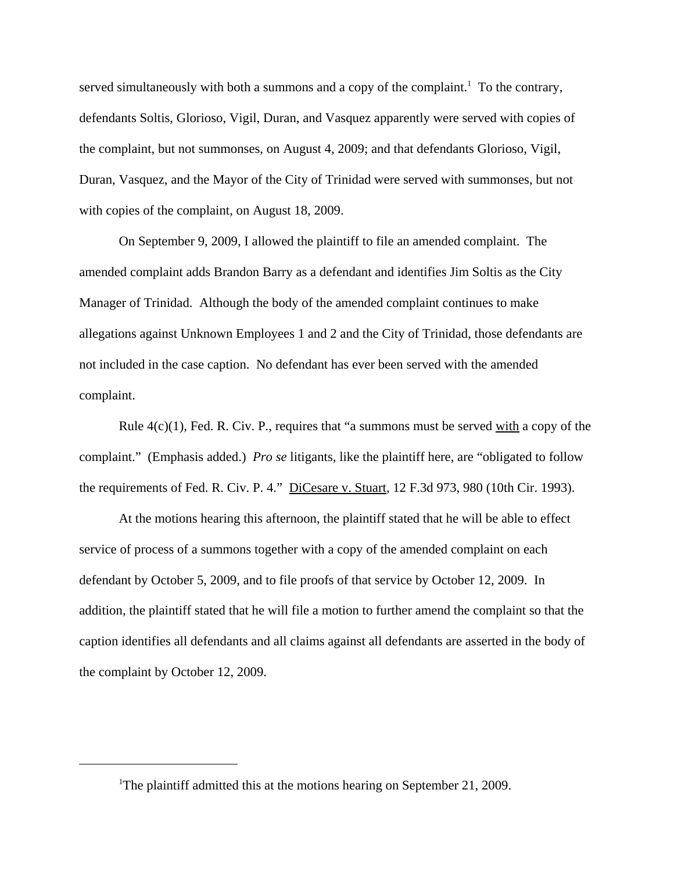served simultaneously with both a summons and a copy of the complaint.<sup>1</sup> To the contrary, defendants Soltis, Glorioso, Vigil, Duran, and Vasquez apparently were served with copies of the complaint, but not summonses, on August 4, 2009; and that defendants Glorioso, Vigil, Duran, Vasquez, and the Mayor of the City of Trinidad were served with summonses, but not with copies of the complaint, on August 18, 2009.

On September 9, 2009, I allowed the plaintiff to file an amended complaint. The amended complaint adds Brandon Barry as a defendant and identifies Jim Soltis as the City Manager of Trinidad. Although the body of the amended complaint continues to make allegations against Unknown Employees 1 and 2 and the City of Trinidad, those defendants are not included in the case caption. No defendant has ever been served with the amended complaint.

Rule  $4(c)(1)$ , Fed. R. Civ. P., requires that "a summons must be served with a copy of the complaint." (Emphasis added.) *Pro se* litigants, like the plaintiff here, are "obligated to follow the requirements of Fed. R. Civ. P. 4." DiCesare v. Stuart, 12 F.3d 973, 980 (10th Cir. 1993).

At the motions hearing this afternoon, the plaintiff stated that he will be able to effect service of process of a summons together with a copy of the amended complaint on each defendant by October 5, 2009, and to file proofs of that service by October 12, 2009. In addition, the plaintiff stated that he will file a motion to further amend the complaint so that the caption identifies all defendants and all claims against all defendants are asserted in the body of the complaint by October 12, 2009.

<sup>&</sup>lt;sup>1</sup>The plaintiff admitted this at the motions hearing on September 21, 2009.